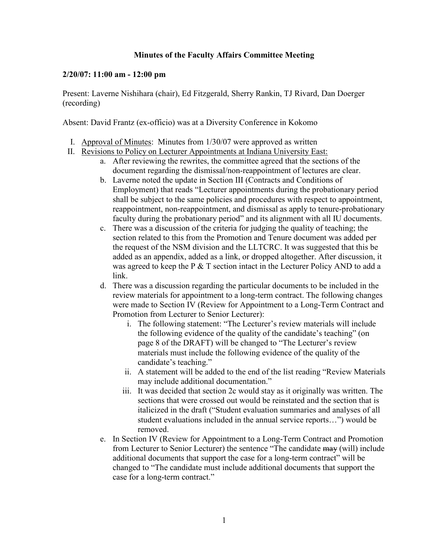## **Minutes of the Faculty Affairs Committee Meeting**

## **2/20/07: 11:00 am - 12:00 pm**

Present: Laverne Nishihara (chair), Ed Fitzgerald, Sherry Rankin, TJ Rivard, Dan Doerger (recording)

Absent: David Frantz (ex-officio) was at a Diversity Conference in Kokomo

- I. Approval of Minutes: Minutes from 1/30/07 were approved as written
- II. Revisions to Policy on Lecturer Appointments at Indiana University East:
	- a. After reviewing the rewrites, the committee agreed that the sections of the document regarding the dismissal/non-reappointment of lectures are clear.
	- b. Laverne noted the update in Section III (Contracts and Conditions of Employment) that reads "Lecturer appointments during the probationary period shall be subject to the same policies and procedures with respect to appointment, reappointment, non-reappointment, and dismissal as apply to tenure-probationary faculty during the probationary period" and its alignment with all IU documents.
	- c. There was a discussion of the criteria for judging the quality of teaching; the section related to this from the Promotion and Tenure document was added per the request of the NSM division and the LLTCRC. It was suggested that this be added as an appendix, added as a link, or dropped altogether. After discussion, it was agreed to keep the P & T section intact in the Lecturer Policy AND to add a link.
	- d. There was a discussion regarding the particular documents to be included in the review materials for appointment to a long-term contract. The following changes were made to Section IV (Review for Appointment to a Long-Term Contract and Promotion from Lecturer to Senior Lecturer):
		- i. The following statement: "The Lecturer's review materials will include the following evidence of the quality of the candidate's teaching" (on page 8 of the DRAFT) will be changed to "The Lecturer's review materials must include the following evidence of the quality of the candidate's teaching."
		- ii. A statement will be added to the end of the list reading "Review Materials may include additional documentation."
		- iii. It was decided that section 2c would stay as it originally was written. The sections that were crossed out would be reinstated and the section that is italicized in the draft ("Student evaluation summaries and analyses of all student evaluations included in the annual service reports…") would be removed.
	- e. In Section IV (Review for Appointment to a Long-Term Contract and Promotion from Lecturer to Senior Lecturer) the sentence "The candidate may (will) include additional documents that support the case for a long-term contract" will be changed to "The candidate must include additional documents that support the case for a long-term contract."